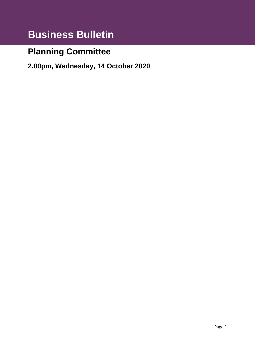# **Business Bulletin**

# **Planning Committee**

**2.00pm, Wednesday, 14 October 2020**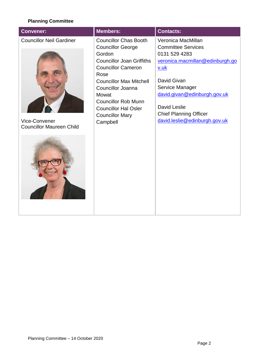#### **Planning Committee**

| <b>Convener:</b>                                                                    | <b>Members:</b>                                                                                                                                                                                                                                                                                                | <b>Contacts:</b>                                                                                                                                                                                                                                                   |
|-------------------------------------------------------------------------------------|----------------------------------------------------------------------------------------------------------------------------------------------------------------------------------------------------------------------------------------------------------------------------------------------------------------|--------------------------------------------------------------------------------------------------------------------------------------------------------------------------------------------------------------------------------------------------------------------|
| <b>Councillor Neil Gardiner</b><br>Vice-Convener<br><b>Councillor Maureen Child</b> | <b>Councillor Chas Booth</b><br><b>Councillor George</b><br>Gordon<br><b>Councillor Joan Griffiths</b><br><b>Councillor Cameron</b><br>Rose<br><b>Councillor Max Mitchell</b><br>Councillor Joanna<br>Mowat<br><b>Councillor Rob Munn</b><br><b>Councillor Hal Osler</b><br><b>Councillor Mary</b><br>Campbell | Veronica MacMillan<br><b>Committee Services</b><br>0131 529 4283<br>veronica.macmillan@edinburgh.go<br>$v.$ uk<br>David Givan<br>Service Manager<br>david.givan@edinburgh.gov.uk<br>David Leslie<br><b>Chief Planning Officer</b><br>david.leslie@edinburgh.gov.uk |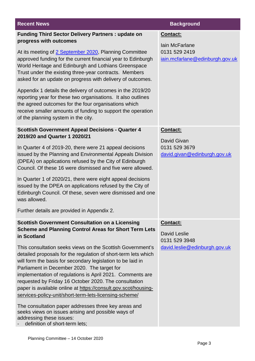| <b>Recent News</b>                                                                                                                                                                                                                                                                                                                                                                                                                                                                                                                                                                                         | <b>Background</b>                                |
|------------------------------------------------------------------------------------------------------------------------------------------------------------------------------------------------------------------------------------------------------------------------------------------------------------------------------------------------------------------------------------------------------------------------------------------------------------------------------------------------------------------------------------------------------------------------------------------------------------|--------------------------------------------------|
| <b>Funding Third Sector Delivery Partners: update on</b><br>progress with outcomes                                                                                                                                                                                                                                                                                                                                                                                                                                                                                                                         | Contact:<br><b>lain McFarlane</b>                |
| At its meeting of 2 September 2020, Planning Committee<br>approved funding for the current financial year to Edinburgh<br>World Heritage and Edinburgh and Lothians Greenspace<br>Trust under the existing three-year contracts. Members<br>asked for an update on progress with delivery of outcomes.                                                                                                                                                                                                                                                                                                     | 0131 529 2419<br>iain.mcfarlane@edinburgh.gov.uk |
| Appendix 1 details the delivery of outcomes in the 2019/20<br>reporting year for these two organisations. It also outlines<br>the agreed outcomes for the four organisations which<br>receive smaller amounts of funding to support the operation<br>of the planning system in the city.                                                                                                                                                                                                                                                                                                                   |                                                  |
| <b>Scottish Government Appeal Decisions - Quarter 4</b><br>2019/20 and Quarter 1 2020/21                                                                                                                                                                                                                                                                                                                                                                                                                                                                                                                   | <b>Contact:</b><br>David Givan                   |
| In Quarter 4 of 2019-20, there were 21 appeal decisions<br>issued by the Planning and Environmental Appeals Division<br>(DPEA) on applications refused by the City of Edinburgh<br>Council. Of these 16 were dismissed and five were allowed.                                                                                                                                                                                                                                                                                                                                                              | 0131 529 3679<br>david.givan@edinburgh.gov.uk    |
| In Quarter 1 of 2020/21, there were eight appeal decisions<br>issued by the DPEA on applications refused by the City of<br>Edinburgh Council. Of these, seven were dismissed and one<br>was allowed.                                                                                                                                                                                                                                                                                                                                                                                                       |                                                  |
| Further details are provided in Appendix 2.                                                                                                                                                                                                                                                                                                                                                                                                                                                                                                                                                                |                                                  |
| <b>Scottish Government Consultation on a Licensing</b><br><b>Scheme and Planning Control Areas for Short Term Lets</b><br>in Scotland                                                                                                                                                                                                                                                                                                                                                                                                                                                                      | Contact:<br><b>David Leslie</b><br>0131 529 3948 |
| This consultation seeks views on the Scottish Government's<br>detailed proposals for the regulation of short-term lets which<br>will form the basis for secondary legislation to be laid in<br>Parliament in December 2020. The target for<br>implementation of regulations is April 2021. Comments are<br>requested by Friday 16 October 2020. The consultation<br>paper is available online at https://consult.gov.scot/housing-<br>services-policy-unit/short-term-lets-licensing-scheme/<br>The consultation paper addresses three key areas and<br>seeks views on issues arising and possible ways of | david.leslie@edinburgh.gov.uk                    |
| addressing these issues:<br>definition of short-term lets;                                                                                                                                                                                                                                                                                                                                                                                                                                                                                                                                                 |                                                  |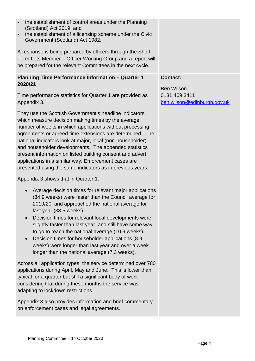- the establishment of control areas under the Planning (Scotland) Act 2019; and
- the establishment of a licensing scheme under the Civic Government (Scotland) Act 1982.

A response is being prepared by officers through the Short Term Lets Member – Officer Working Group and a report will be prepared for the relevant Committees in the next cycle.

### **Planning Time Performance Information – Quarter 1 2020/21**

Time performance statistics for Quarter 1 are provided as Appendix 3.

They use the Scottish Government's headline indicators, which measure decision making times by the average number of weeks in which applications without processing agreements or agreed time extensions are determined. The national indicators look at major, local (non-householder) and householder developments. The appended statistics present information on listed building consent and advert applications in a similar way. Enforcement cases are presented using the same indicators as in previous years.

Appendix 3 shows that in Quarter 1:

- Average decision times for relevant major applications (34.9 weeks) were faster than the Council average for 2019/20, and approached the national average for last year (33.5 weeks).
- Decision times for relevant local developments were slightly faster than last year, and still have some way to go to reach the national average (10.9 weeks).
- Decision times for householder applications (8.9 weeks) were longer than last year and over a week longer than the national average (7.3 weeks).

Across all application types, the service determined over 780 applications during April, May and June. This is lower than typical for a quarter but still a significant body of work considering that during these months the service was adapting to lockdown restrictions.

Appendix 3 also provides information and brief commentary on enforcement cases and legal agreements.

## **Contact:**

Ben Wilson 0131 469 3411 [ben.wilson@edinburgh.gov.uk](mailto:ben.wilson@edinburgh.gov.uk)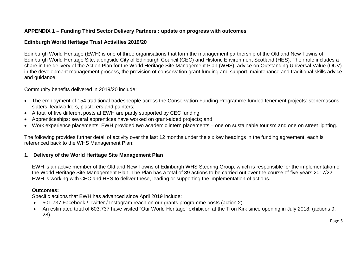### **APPENDIX 1 – Funding Third Sector Delivery Partners : update on progress with outcomes**

#### **Edinburgh World Heritage Trust Activities 2019/20**

Edinburgh World Heritage (EWH) is one of three organisations that form the management partnership of the Old and New Towns of Edinburgh World Heritage Site, alongside City of Edinburgh Council (CEC) and Historic Environment Scotland (HES). Their role includes a share in the delivery of the Action Plan for the World Heritage Site Management Plan (WHS), advice on Outstanding Universal Value (OUV) in the development management process, the provision of conservation grant funding and support, maintenance and traditional skills advice and guidance.

Community benefits delivered in 2019/20 include:

- The employment of 154 traditional tradespeople across the Conservation Funding Programme funded tenement projects: stonemasons, slaters, leadworkers, plasterers and painters;
- A total of five different posts at EWH are partly supported by CEC funding;
- Apprenticeships: several apprentices have worked on grant-aided projects; and
- Work experience placements: EWH provided two academic intern placements one on sustainable tourism and one on street lighting.

The following provides further detail of activity over the last 12 months under the six key headings in the funding agreement, each is referenced back to the WHS Management Plan:

### **1. Delivery of the World Heritage Site Management Plan**

EWH is an active member of the Old and New Towns of Edinburgh WHS Steering Group, which is responsible for the implementation of the World Heritage Site Management Plan. The Plan has a total of 39 actions to be carried out over the course of five years 2017/22. EWH is working with CEC and HES to deliver these, leading or supporting the implementation of actions.

### **Outcomes:**

Specific actions that EWH has advanced since April 2019 include:

- 501,737 Facebook / Twitter / Instagram reach on our grants programme posts (action 2).
- An estimated total of 603,737 have visited "Our World Heritage" exhibition at the Tron Kirk since opening in July 2018, (actions 9, 28).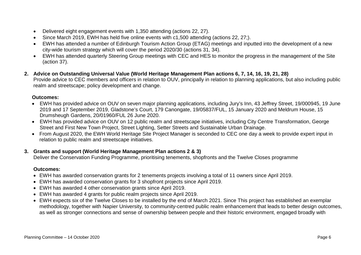- Delivered eight engagement events with 1,350 attending (actions 22, 27).
- Since March 2019, EWH has held five online events with c1,500 attending (actions 22, 27;).
- EWH has attended a number of Edinburgh Tourism Action Group (ETAG) meetings and inputted into the development of a new city-wide tourism strategy which will cover the period 2020/30 (actions 31, 34).
- EWH has attended quarterly Steering Group meetings with CEC and HES to monitor the progress in the management of the Site (action 37).
- **2. Advice on Outstanding Universal Value (World Heritage Management Plan actions 6, 7, 14, 16, 19, 21, 28)** Provide advice to CEC members and officers in relation to OUV, principally in relation to planning applications, but also including public realm and streetscape; policy development and change.

#### **Outcomes:**

- EWH has provided advice on OUV on seven major planning applications, including Jury's Inn, 43 Jeffrey Street, 19/000945, 19 June 2019 and 17 September 2019, Gladstone's Court, 179 Canongate, 19/05837/FUL, 15 January 2020 and Meldrum House, 15 Drumsheugh Gardens, 20/01960/FUL 26 June 2020.
- EWH has provided advice on OUV on 12 public realm and streetscape initiatives, including City Centre Transformation, George Street and First New Town Project, Street Lighting, Setter Streets and Sustainable Urban Drainage.
- From August 2020, the EWH World Heritage Site Project Manager is seconded to CEC one day a week to provide expert input in relation to public realm and streetscape initiatives.

### **3. Grants and support (World Heritage Management Plan actions 2 & 3)**

Deliver the Conservation Funding Programme, prioritising tenements, shopfronts and the Twelve Closes programme

#### **Outcomes:**

- EWH has awarded conservation grants for 2 tenements projects involving a total of 11 owners since April 2019.
- EWH has awarded conservation grants for 3 shopfront projects since April 2019.
- EWH has awarded 4 other conservation grants since April 2019.
- EWH has awarded 4 grants for public realm projects since April 2019.
- EWH expects six of the Twelve Closes to be installed by the end of March 2021. Since This project has established an exemplar methodology, together with Napier University, to community-centred public realm enhancement that leads to better design outcomes, as well as stronger connections and sense of ownership between people and their historic environment, engaged broadly with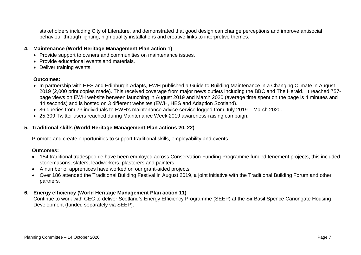stakeholders including City of Literature, and demonstrated that good design can change perceptions and improve antisocial behaviour through lighting, high quality installations and creative links to interpretive themes.

#### **4. Maintenance (World Heritage Management Plan action 1)**

- Provide support to owners and communities on maintenance issues.
- Provide educational events and materials.
- Deliver training events.

#### **Outcomes:**

- In partnership with HES and Edinburgh Adapts, EWH published a Guide to Building Maintenance in a Changing Climate in August 2019 (2,000 print copies made). This received coverage from major news outlets including the BBC and The Herald. It reached 757 page views on EWH website between launching in August 2019 and March 2020 (average time spent on the page is 4 minutes and 44 seconds) and is hosted on 3 different websites (EWH, HES and Adaption Scotland).
- 86 queries from 73 individuals to EWH's maintenance advice service logged from July 2019 March 2020.
- 25,309 Twitter users reached during Maintenance Week 2019 awareness-raising campaign.

#### **5. Traditional skills (World Heritage Management Plan actions 20, 22)**

Promote and create opportunities to support traditional skills, employability and events

#### **Outcomes:**

- 154 traditional tradespeople have been employed across Conservation Funding Programme funded tenement projects, this included stonemasons, slaters, leadworkers, plasterers and painters.
- A number of apprentices have worked on our grant-aided projects.
- Over 186 attended the Traditional Building Festival in August 2019, a joint initiative with the Traditional Building Forum and other partners.

### **6. Energy efficiency (World Heritage Management Plan action 11)**

Continue to work with CEC to deliver Scotland's Energy Efficiency Programme (SEEP) at the Sir Basil Spence Canongate Housing Development (funded separately via SEEP).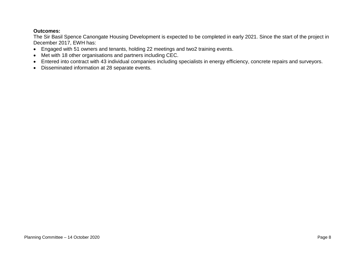#### **Outcomes:**

The Sir Basil Spence Canongate Housing Development is expected to be completed in early 2021. Since the start of the project in December 2017, EWH has:

- Engaged with 51 owners and tenants, holding 22 meetings and two2 training events.
- Met with 18 other organisations and partners including CEC.
- Entered into contract with 43 individual companies including specialists in energy efficiency, concrete repairs and surveyors.
- Disseminated information at 28 separate events.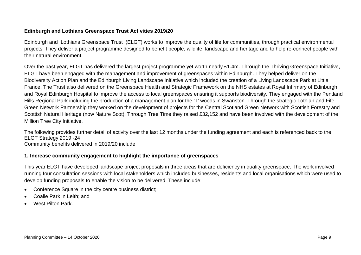#### **Edinburgh and Lothians Greenspace Trust Activities 2019/20**

Edinburgh and Lothians Greenspace Trust (ELGT) works to improve the quality of life for communities, through practical environmental projects. They deliver a project programme designed to benefit people, wildlife, landscape and heritage and to help re-connect people with their natural environment.

Over the past year, ELGT has delivered the largest project programme yet worth nearly £1.4m. Through the Thriving Greenspace Initiative, ELGT have been engaged with the management and improvement of greenspaces within Edinburgh. They helped deliver on the Biodiversity Action Plan and the Edinburgh Living Landscape Initiative which included the creation of a Living Landscape Park at Little France. The Trust also delivered on the Greenspace Health and Strategic Framework on the NHS estates at Royal Infirmary of Edinburgh and Royal Edinburgh Hospital to improve the access to local greenspaces ensuring it supports biodiversity. They engaged with the Pentland Hills Regional Park including the production of a management plan for the 'T' woods in Swanston. Through the strategic Lothian and Fife Green Network Partnership they worked on the development of projects for the Central Scotland Green Network with Scottish Forestry and Scottish Natural Heritage (now Nature Scot). Through Tree Time they raised £32,152 and have been involved with the development of the Million Tree City Initiative.

The following provides further detail of activity over the last 12 months under the funding agreement and each is referenced back to the ELGT Strategy 2019 -24 Community benefits delivered in 2019/20 include

#### **1. Increase community engagement to highlight the importance of greenspaces**

This year ELGT have developed landscape project proposals in three areas that are deficiency in quality greenspace. The work involved running four consultation sessions with local stakeholders which included businesses, residents and local organisations which were used to develop funding proposals to enable the vision to be delivered. These include:

- Conference Square in the city centre business district;
- Coalie Park in Leith; and
- West Pilton Park.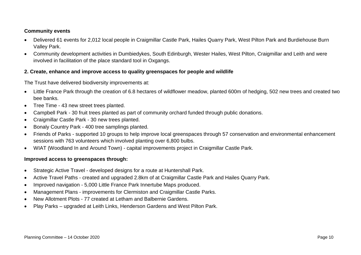#### **Community events**

- Delivered 61 events for 2,012 local people in Craigmillar Castle Park, Hailes Quarry Park, West Pilton Park and Burdiehouse Burn Valley Park.
- Community development activities in Dumbiedykes, South Edinburgh, Wester Hailes, West Pilton, Craigmillar and Leith and were involved in facilitation of the place standard tool in Oxgangs.

#### **2. Create, enhance and improve access to quality greenspaces for people and wildlife**

The Trust have delivered biodiversity improvements at:

- Little France Park through the creation of 6.8 hectares of wildflower meadow, planted 600m of hedging, 502 new trees and created two bee banks.
- Tree Time 43 new street trees planted.
- Campbell Park 30 fruit trees planted as part of community orchard funded through public donations.
- Craigmillar Castle Park 30 new trees planted.
- Bonaly Country Park 400 tree samplings planted.
- Friends of Parks supported 10 groups to help improve local greenspaces through 57 conservation and environmental enhancement sessions with 763 volunteers which involved planting over 6,800 bulbs.
- WIAT (Woodland In and Around Town) capital improvements project in Craigmillar Castle Park.

#### **Improved access to greenspaces through:**

- Strategic Active Travel developed designs for a route at Huntershall Park.
- Active Travel Paths created and upgraded 2.8km of at Craigmillar Castle Park and Hailes Quarry Park.
- Improved navigation 5,000 Little France Park Innertube Maps produced.
- Management Plans improvements for Clermiston and Craigmillar Castle Parks.
- New Allotment Plots 77 created at Letham and Balbernie Gardens.
- Play Parks upgraded at Leith Links, Henderson Gardens and West Pilton Park.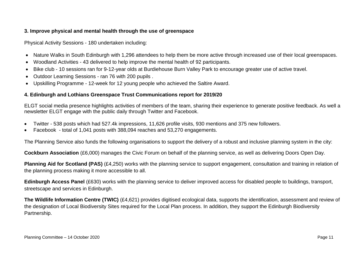#### **3. Improve physical and mental health through the use of greenspace**

Physical Activity Sessions - 180 undertaken including:

- Nature Walks in South Edinburgh with 1,296 attendees to help them be more active through increased use of their local greenspaces.
- Woodland Activities 43 delivered to help improve the mental health of 92 participants.
- Bike club 10 sessions ran for 9-12-year olds at Burdiehouse Burn Valley Park to encourage greater use of active travel.
- Outdoor Learning Sessions ran 76 with 200 pupils .
- Upskilling Programme 12-week for 12 young people who achieved the Saltire Award.

#### **4. Edinburgh and Lothians Greenspace Trust Communications report for 2019/20**

ELGT social media presence highlights activities of members of the team, sharing their experience to generate positive feedback. As well a newsletter ELGT engage with the public daily through Twitter and Facebook.

- Twitter 538 posts which had 527.4k impressions, 11,626 profile visits, 930 mentions and 375 new followers.
- Facebook total of 1,041 posts with 388,094 reaches and 53,270 engagements.

The Planning Service also funds the following organisations to support the delivery of a robust and inclusive planning system in the city:

**Cockburn Association** (£6,000) manages the Civic Forum on behalf of the planning service, as well as delivering Doors Open Day.

**Planning Aid for Scotland (PAS)** (£4,250) works with the planning service to support engagement, consultation and training in relation of the planning process making it more accessible to all.

**Edinburgh Access Panel** (£630) works with the planning service to deliver improved access for disabled people to buildings, transport, streetscape and services in Edinburgh.

**The Wildlife Information Centre (TWIC)** (£4,621) provides digitised ecological data, supports the identification, assessment and review of the designation of Local Biodiversity Sites required for the Local Plan process. In addition, they support the Edinburgh Biodiversity Partnership.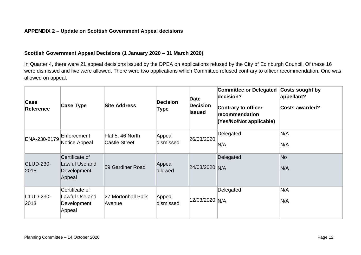#### **APPENDIX 2 – Update on Scottish Government Appeal decisions**

#### **Scottish Government Appeal Decisions (1 January 2020 – 31 March 2020)**

In Quarter 4, there were 21 appeal decisions issued by the DPEA on applications refused by the City of Edinburgh Council. Of these 16 were dismissed and five were allowed. There were two applications which Committee refused contrary to officer recommendation. One was allowed on appeal.

| Case<br><b>Reference</b> | <b>Case Type</b>                                          | <b>Site Address</b>                      | <b>Decision</b><br>Type | Date<br><b>Decision</b><br>Issued | <b>Committee or Delegated</b><br>decision?<br><b>Contrary to officer</b><br>recommendation<br>(Yes/No/Not applicable) | Costs sought by<br>appellant?<br><b>Costs awarded?</b> |
|--------------------------|-----------------------------------------------------------|------------------------------------------|-------------------------|-----------------------------------|-----------------------------------------------------------------------------------------------------------------------|--------------------------------------------------------|
| ENA-230-2179             | Enforcement<br>Notice Appeal                              | Flat 5, 46 North<br><b>Castle Street</b> | Appeal<br>dismissed     | 26/03/2020                        | Delegated<br>N/A                                                                                                      | N/A<br>N/A                                             |
| <b>CLUD-230-</b><br>2015 | Certificate of<br>Lawful Use and<br>Development<br>Appeal | 59 Gardiner Road                         | Appeal<br>allowed       | 24/03/2020 N/A                    | Delegated                                                                                                             | N <sub>o</sub><br>N/A                                  |
| CLUD-230-<br>2013        | Certificate of<br>Lawful Use and<br>Development<br>Appeal | 27 Mortonhall Park<br>Avenue             | Appeal<br>dismissed     | 12/03/2020 N/A                    | Delegated                                                                                                             | N/A<br>N/A                                             |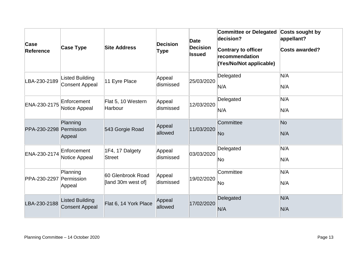| Case<br><b>Reference</b> | <b>Case Type</b>                                | <b>Site Address</b>                     | <b>Decision</b><br>Type | Date<br><b>Decision</b><br><b>Issued</b> | <b>Committee or Delegated</b><br>decision?<br><b>Contrary to officer</b><br>recommendation<br>(Yes/No/Not applicable) | Costs sought by<br>appellant?<br><b>Costs awarded?</b> |
|--------------------------|-------------------------------------------------|-----------------------------------------|-------------------------|------------------------------------------|-----------------------------------------------------------------------------------------------------------------------|--------------------------------------------------------|
| LBA-230-2189             | <b>Listed Building</b><br><b>Consent Appeal</b> | 11 Eyre Place                           | Appeal<br>dismissed     | 25/03/2020                               | Delegated<br>N/A                                                                                                      | N/A<br>N/A                                             |
| ENA-230-2175             | Enforcement<br>Notice Appeal                    | Flat 5, 10 Western<br>Harbour           | Appeal<br>dismissed     | 12/03/2020                               | Delegated<br>N/A                                                                                                      | N/A<br>N/A                                             |
| PPA-230-2298 Permission  | Planning<br>Appeal                              | 543 Gorgie Road                         | Appeal<br>allowed       | 11/03/2020                               | Committee<br><b>No</b>                                                                                                | N <sub>o</sub><br>N/A                                  |
| ENA-230-2174             | Enforcement<br>Notice Appeal                    | 1F4, 17 Dalgety<br>Street               | Appeal<br>dismissed     | 03/03/2020                               | Delegated<br>No.                                                                                                      | N/A<br>N/A                                             |
| PPA-230-2297 Permission  | Planning<br>Appeal                              | 60 Glenbrook Road<br>[land 30m west of] | Appeal<br>dismissed     | 19/02/2020                               | Committee<br>No                                                                                                       | N/A<br>N/A                                             |
| LBA-230-2188             | <b>Listed Building</b><br><b>Consent Appeal</b> | Flat 6, 14 York Place                   | Appeal<br>allowed       | 17/02/2020                               | Delegated<br>N/A                                                                                                      | N/A<br>N/A                                             |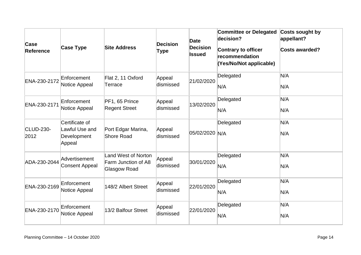| Case<br>Reference        | <b>Case Type</b>                                          | <b>Site Address</b>                                        | <b>Decision</b><br>Type | <b>Date</b><br><b>Decision</b><br><b>Issued</b> | <b>Committee or Delegated</b><br>decision?<br><b>Contrary to officer</b><br>recommendation<br>(Yes/No/Not applicable) | Costs sought by<br>appellant?<br><b>Costs awarded?</b> |
|--------------------------|-----------------------------------------------------------|------------------------------------------------------------|-------------------------|-------------------------------------------------|-----------------------------------------------------------------------------------------------------------------------|--------------------------------------------------------|
| ENA-230-2172             | Enforcement<br>Notice Appeal                              | Flat 2, 11 Oxford<br>Terrace                               | Appeal<br>dismissed     | 21/02/2020                                      | Delegated<br>N/A                                                                                                      | N/A<br>N/A                                             |
| ENA-230-2171             | Enforcement<br>Notice Appeal                              | PF1, 65 Prince<br><b>Regent Street</b>                     | Appeal<br>dismissed     | 13/02/2020                                      | Delegated<br>N/A                                                                                                      | N/A<br>N/A                                             |
| <b>CLUD-230-</b><br>2012 | Certificate of<br>Lawful Use and<br>Development<br>Appeal | Port Edgar Marina,<br>Shore Road                           | Appeal<br>dismissed     | 05/02/2020 N/A                                  | Delegated                                                                                                             | N/A<br>N/A                                             |
| ADA-230-2044             | Advertisement<br><b>Consent Appeal</b>                    | Land West of Norton<br>Farm Junction of A8<br>Glasgow Road | Appeal<br>dismissed     | 30/01/2020                                      | Delegated<br>N/A                                                                                                      | N/A<br>N/A                                             |
| ENA-230-2169             | Enforcement<br>Notice Appeal                              | 148/2 Albert Street                                        | Appeal<br>dismissed     | 22/01/2020                                      | Delegated<br>N/A                                                                                                      | N/A<br>N/A                                             |
| ENA-230-2170             | Enforcement<br>Notice Appeal                              | 13/2 Balfour Street                                        | Appeal<br>dismissed     | 22/01/2020                                      | Delegated<br>N/A                                                                                                      | N/A<br>N/A                                             |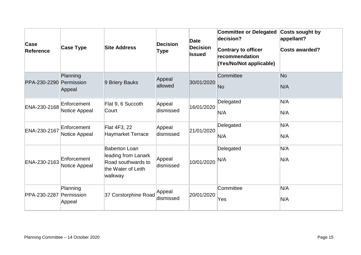| Case<br><b>Reference</b> | <b>Case Type</b>                 | <b>Site Address</b>                                                                                | <b>Decision</b><br>Type | <b>Date</b><br><b>Decision</b><br><b>Issued</b> | <b>Committee or Delegated</b><br>decision?<br><b>Contrary to officer</b><br>recommendation<br>(Yes/No/Not applicable) | Costs sought by<br>appellant?<br><b>Costs awarded?</b> |
|--------------------------|----------------------------------|----------------------------------------------------------------------------------------------------|-------------------------|-------------------------------------------------|-----------------------------------------------------------------------------------------------------------------------|--------------------------------------------------------|
| PPA-230-2290 Permission  | Planning<br>Appeal               | 9 Briery Bauks                                                                                     | Appeal<br>allowed       | 30/01/2020                                      | Committee<br><b>No</b>                                                                                                | N <sub>o</sub><br>N/A                                  |
| ENA-230-2168             | Enforcement<br>Notice Appeal     | Flat 9, 6 Succoth<br>Court                                                                         | Appeal<br>dismissed     | 16/01/2020                                      | Delegated<br>N/A                                                                                                      | N/A<br>N/A                                             |
| ENA-230-2167             | Enforcement<br>Notice Appeal     | Flat 4F3, 22<br><b>Haymarket Terrace</b>                                                           | Appeal<br>dismissed     | 21/01/2020                                      | Delegated<br>N/A                                                                                                      | N/A<br>N/A                                             |
| ENA-230-2163             | Enforcement<br>Notice Appeal     | <b>Baberton Loan</b><br>leading from Lanark<br>Road southwards to<br>the Water of Leith<br>walkway | Appeal<br>dismissed     | 10/01/2020                                      | Delegated<br>N/A                                                                                                      | N/A<br>N/A                                             |
| PPA-230-2287             | Planning<br>Permission<br>Appeal | 37 Corstorphine Road                                                                               | Appeal<br>dismissed     | 20/01/2020                                      | Committee<br>Yes                                                                                                      | N/A<br>N/A                                             |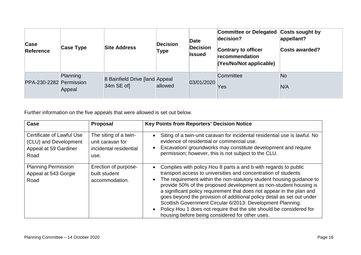| Case<br><b>Reference</b> | Case Type          | <b>Site Address</b>                            | <b>Decision</b><br>Type | Date<br><b>Decision</b><br>Issued | Committee or Delegated Costs sought by<br>decision?<br>Contrary to officer<br>recommendation<br>(Yes/No/Not applicable) | appellant?<br><b>Costs awarded?</b> |
|--------------------------|--------------------|------------------------------------------------|-------------------------|-----------------------------------|-------------------------------------------------------------------------------------------------------------------------|-------------------------------------|
| PPA-230-2282 Permission  | Planning<br>Appeal | 8 Bainfield Drive [land Appeal]<br>$34m$ SE of | allowed                 | 03/01/2020                        | Committee<br>Yes                                                                                                        | <b>No</b><br>N/A                    |

Further information on the five appeals that were allowed is set out below.

| Case                                                                                | <b>Proposal</b>                                                             | <b>Key Points from Reporters' Decision Notice</b>                                                                                                                                                                                                                                                                                                                                                                                                                                                                                                                                                                                                                 |
|-------------------------------------------------------------------------------------|-----------------------------------------------------------------------------|-------------------------------------------------------------------------------------------------------------------------------------------------------------------------------------------------------------------------------------------------------------------------------------------------------------------------------------------------------------------------------------------------------------------------------------------------------------------------------------------------------------------------------------------------------------------------------------------------------------------------------------------------------------------|
| Certificate of Lawful Use<br>(CLU) and Development<br>Appeal at 59 Gardiner<br>Road | The siting of a twin-<br>unit caravan for<br>incidental residential<br>use. | Siting of a twin-unit caravan for incidental residential use is lawful. No<br>$\bullet$<br>evidence of residential or commercial use.<br>Excavation/ groundworks may constitute development and require<br>$\bullet$<br>permission; however, this is not subject to the CLU.                                                                                                                                                                                                                                                                                                                                                                                      |
| <b>Planning Permission</b><br>Appeal at 543 Gorgie<br>Road                          | Erection of purpose-<br>built student<br>accommodation.                     | Complies with policy Hou 8 parts a and b with regards to public<br>$\bullet$<br>transport access to universities and concentration of students<br>The requirement within the non-statutory student housing guidance to<br>$\bullet$<br>provide 50% of the proposed development as non-student housing is<br>a significant policy requirement that does not appear in the plan and<br>goes beyond the provision of additional policy detail as set out under<br>Scottish Government Circular 6/2013: Development Planning.<br>Policy Hou 1 does not require that the site should be considered for<br>$\bullet$<br>housing before being considered for other uses. |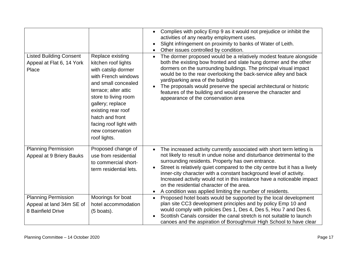| <b>Listed Building Consent</b><br>Appeal at Flat 6, 14 York<br>Place        | Replace existing<br>kitchen roof lights<br>with catslip dormer<br>with French windows<br>and small concealed<br>terrace; alter attic<br>store to living room<br>gallery; replace<br>existing rear roof<br>hatch and front<br>facing roof light with<br>new conservation<br>roof lights. | Complies with policy Emp 9 as it would not prejudice or inhibit the<br>$\bullet$<br>activities of any nearby employment uses.<br>Slight infringement on proximity to banks of Water of Leith.<br>$\bullet$<br>Other issues controlled by condition.<br>$\bullet$<br>The dormer proposed would be a relatively modest feature alongside<br>$\bullet$<br>both the existing bow fronted and slate hung dormer and the other<br>dormers on the surrounding buildings. The principal visual impact<br>would be to the rear overlooking the back-service alley and back<br>yard/parking area of the building<br>The proposals would preserve the special architectural or historic<br>$\bullet$<br>features of the building and would preserve the character and<br>appearance of the conservation area |
|-----------------------------------------------------------------------------|-----------------------------------------------------------------------------------------------------------------------------------------------------------------------------------------------------------------------------------------------------------------------------------------|---------------------------------------------------------------------------------------------------------------------------------------------------------------------------------------------------------------------------------------------------------------------------------------------------------------------------------------------------------------------------------------------------------------------------------------------------------------------------------------------------------------------------------------------------------------------------------------------------------------------------------------------------------------------------------------------------------------------------------------------------------------------------------------------------|
| <b>Planning Permission</b><br>Appeal at 9 Briery Bauks                      | Proposed change of<br>use from residential<br>to commercial short-<br>term residential lets.                                                                                                                                                                                            | The increased activity currently associated with short term letting is<br>$\bullet$<br>not likely to result in undue noise and disturbance detrimental to the<br>surrounding residents. Property has own entrance.<br>Street is relatively quiet compared to the city centre but it has a lively<br>$\bullet$<br>inner-city character with a constant background level of activity.<br>Increased activity would not in this instance have a noticeable impact<br>on the residential character of the area.<br>A condition was applied limiting the number of residents.<br>$\bullet$                                                                                                                                                                                                              |
| <b>Planning Permission</b><br>Appeal at land 34m SE of<br>8 Bainfield Drive | Moorings for boat<br>hotel accommodation<br>$(5$ boats).                                                                                                                                                                                                                                | Proposed hotel boats would be supported by the local development<br>$\bullet$<br>plan site CC3 development principles and by policy Emp 10 and<br>would comply with policies Des 1, Des 4, Des 5, Hou 7 and Des 6.<br>Scottish Canals consider the canal stretch is not suitable to launch<br>canoes and the aspiration of Boroughmuir High School to have clear                                                                                                                                                                                                                                                                                                                                                                                                                                  |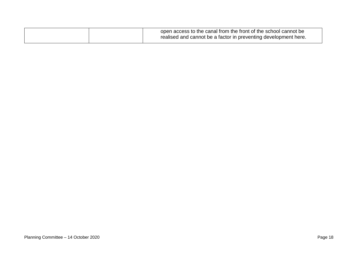|  | open access to the canal from the front of the school cannot be |
|--|-----------------------------------------------------------------|
|  | realised and cannot be a factor in preventing development here. |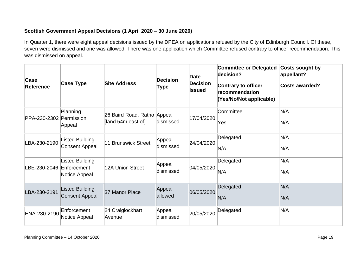### **Scottish Government Appeal Decisions (1 April 2020 – 30 June 2020)**

In Quarter 1, there were eight appeal decisions issued by the DPEA on applications refused by the City of Edinburgh Council. Of these, seven were dismissed and one was allowed. There was one application which Committee refused contrary to officer recommendation. This was dismissed on appeal.

| Case<br>Reference       | <b>Case Type</b>                                       | <b>Site Address</b>                               | <b>Decision</b><br>Type | Date<br><b>Decision</b><br>Issued | <b>Committee or Delegated</b><br>decision?<br><b>Contrary to officer</b><br>recommendation<br>(Yes/No/Not applicable) | Costs sought by<br>appellant?<br><b>Costs awarded?</b> |
|-------------------------|--------------------------------------------------------|---------------------------------------------------|-------------------------|-----------------------------------|-----------------------------------------------------------------------------------------------------------------------|--------------------------------------------------------|
| PPA-230-2302 Permission | Planning<br>Appeal                                     | 26 Baird Road, Ratho Appeal<br>[land 54m east of] | dismissed               | 17/04/2020                        | Committee<br>Yes                                                                                                      | N/A<br>N/A                                             |
| LBA-230-2190            | Listed Building<br><b>Consent Appeal</b>               | <b>11 Brunswick Street</b>                        | Appeal<br>dismissed     | 24/04/2020                        | Delegated<br>N/A                                                                                                      | N/A<br>N/A                                             |
| LBE-230-2046            | <b>Listed Building</b><br>Enforcement<br>Notice Appeal | 12A Union Street                                  | Appeal<br>dismissed     | 04/05/2020                        | Delegated<br>N/A                                                                                                      | N/A<br>N/A                                             |
| LBA-230-2191            | <b>Listed Building</b><br><b>Consent Appeal</b>        | 37 Manor Place                                    | Appeal<br>allowed       | 06/05/2020                        | Delegated<br>N/A                                                                                                      | N/A<br>N/A                                             |
| ENA-230-2190            | Enforcement<br>Notice Appeal                           | 24 Craiglockhart<br>Avenue                        | Appeal<br>dismissed     | 20/05/2020                        | Delegated                                                                                                             | N/A                                                    |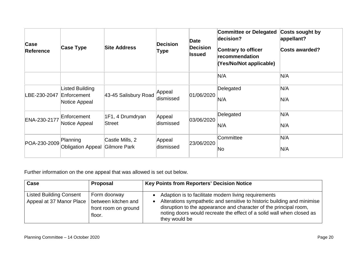| Case<br><b>Reference</b> | Case Type                                       | <b>Site Address</b>             | <b>Decision</b><br><b>Type</b> | Date<br><b>Decision</b><br><b>Issued</b> | <b>Committee or Delegated</b><br>decision?<br><b>Contrary to officer</b><br>recommendation<br>(Yes/No/Not applicable) | <b>Costs sought by</b><br>appellant?<br><b>Costs awarded?</b> |
|--------------------------|-------------------------------------------------|---------------------------------|--------------------------------|------------------------------------------|-----------------------------------------------------------------------------------------------------------------------|---------------------------------------------------------------|
|                          |                                                 |                                 |                                |                                          | N/A                                                                                                                   | N/A                                                           |
| LBE-230-2047             | Listed Building<br>Enforcement<br>Notice Appeal | 43-45 Salisbury Road            | Appeal<br>dismissed            | 01/06/2020                               | Delegated<br>N/A                                                                                                      | N/A<br>N/A                                                    |
| ENA-230-2177             | Enforcement<br>Notice Appeal                    | 1F1, 4 Drumdryan<br>Street      | Appeal<br>dismissed            | 03/06/2020                               | Delegated<br>N/A                                                                                                      | N/A<br>N/A                                                    |
| POA-230-2009 Planning    | <b>Obligation Appeal</b>                        | Castle Mills, 2<br>Gilmore Park | Appeal<br>dismissed            | 23/06/2020                               | Committee<br>No                                                                                                       | N/A<br>N/A                                                    |

Further information on the one appeal that was allowed is set out below.

| Case                                                       | <b>Proposal</b>                                                       | <b>Key Points from Reporters' Decision Notice</b>                                                                                                                                                                                                                                                                        |
|------------------------------------------------------------|-----------------------------------------------------------------------|--------------------------------------------------------------------------------------------------------------------------------------------------------------------------------------------------------------------------------------------------------------------------------------------------------------------------|
| <b>Listed Building Consent</b><br>Appeal at 37 Manor Place | Form doorway<br>between kitchen and<br>front room on ground<br>floor. | Adaption is to facilitate modern living requirements<br>$\bullet$<br>Alterations sympathetic and sensitive to historic building and minimise<br>$\bullet$<br>disruption to the appearance and character of the principal room,<br>noting doors would recreate the effect of a solid wall when closed as<br>they would be |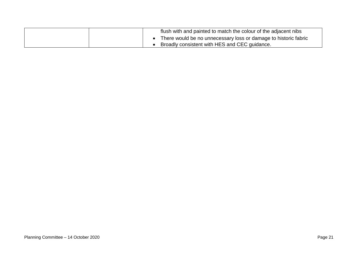| flush with and painted to match the colour of the adjacent nibs |
|-----------------------------------------------------------------|
| There would be no unnecessary loss or damage to historic fabric |
| Broadly consistent with HES and CEC guidance.                   |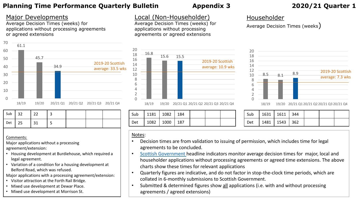## **Planning Time Performance Quarterly Bulletin Appendix 3 2020/21 Quarter 1**

## Major Developments

Average Decision Times (weeks) for applications without processing agreements or agreed extensions



| Sub $\vert$ 32 | $\vert$ 22                                        |  |  |
|----------------|---------------------------------------------------|--|--|
| $Det$ 25       | $\begin{array}{c} \text{1} \text{31} \end{array}$ |  |  |

#### Comments:

Major applications without a processing agreement/extension:

- Housing development at Burdiehouse, which required a legal agreement.
- Variation of a condition for a housing development at Belford Road, which was refused.

Major applications with a processing agreement/extension:

- Visitor attraction at the Forth Rail Bridge.
- Mixed use development at Dewar Place.
- Mixed use development at Morrison St.

## Local (Non-Householder)

Average Decision Times (weeks) for applications without processing agreements or agreed extensions



18/19 19/20 20/21 Q1 20/21 Q2 20/21 Q3 20/21 Q4

| Sub | 1181   1082   184 |  |  |
|-----|-------------------|--|--|
| Det | 1082   1000   187 |  |  |

## Householder

Average Decision Times (weeks)



18/19 19/20 20/21 Q1 20/21 Q2 20/21 Q3 20/21 Q4

| Sub        | 1631   1611   344 |  |  |  |
|------------|-------------------|--|--|--|
| <b>Det</b> | 1481   1543   362 |  |  |  |

#### Notes:

- Decision times are from validation to issuing of permission, which includes time for legal agreements to be concluded.
- [Scottish Government h](https://www.gov.scot/publications/planning-performance-statistics-2019-20-annual/)eadline indicators monitor average decision times for major, local and householder applications without processing agreements or agreed time extensions. The above charts show these times for relevant applications
- Quarterly figures are indicative, and do not factor in stop-the-clock time periods, which are collated in 6-monthly submissions to Scottish Government.
- Submitted & determined figures show all applications (i.e. with and without processing agreements / agreed extensions)